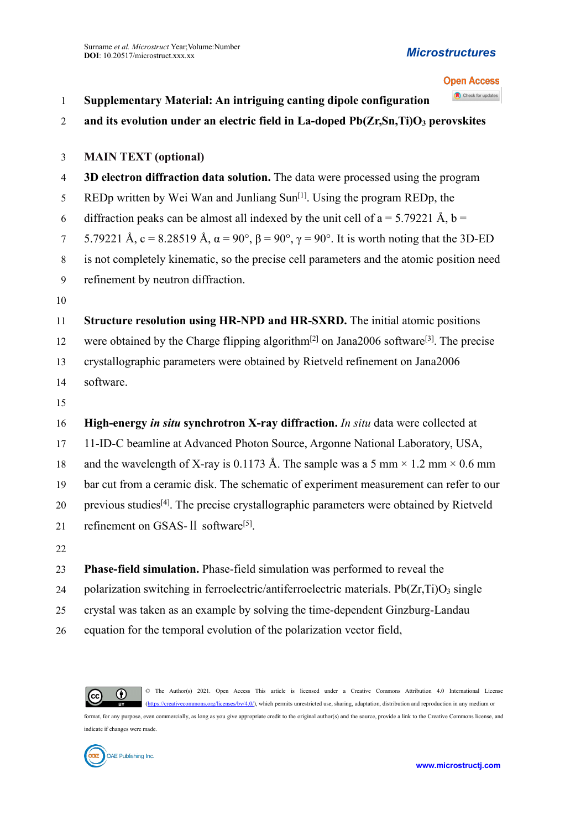#### *Microstructures*

### **Open Access**

| $\mathbf{1}$     | Check for updates<br>Supplementary Material: An intriguing canting dipole configuration                         |
|------------------|-----------------------------------------------------------------------------------------------------------------|
| $\overline{2}$   | and its evolution under an electric field in La-doped Pb(Zr,Sn,Ti)O <sub>3</sub> perovskites                    |
|                  |                                                                                                                 |
| $\mathfrak{Z}$   | <b>MAIN TEXT (optional)</b>                                                                                     |
| $\overline{4}$   | 3D electron diffraction data solution. The data were processed using the program                                |
| 5                | REDp written by Wei Wan and Junliang Sun <sup>[1]</sup> . Using the program REDp, the                           |
| 6                | diffraction peaks can be almost all indexed by the unit cell of $a = 5.79221 \text{ Å}, b =$                    |
| $7\phantom{.0}$  | 5.79221 Å, c = 8.28519 Å, $\alpha$ = 90°, $\beta$ = 90°, $\gamma$ = 90°. It is worth noting that the 3D-ED      |
| $8\,$            | is not completely kinematic, so the precise cell parameters and the atomic position need                        |
| $\boldsymbol{9}$ | refinement by neutron diffraction.                                                                              |
| 10               |                                                                                                                 |
| 11               | Structure resolution using HR-NPD and HR-SXRD. The initial atomic positions                                     |
| 12               | were obtained by the Charge flipping algorithm <sup>[2]</sup> on Jana2006 software <sup>[3]</sup> . The precise |
| 13               | crystallographic parameters were obtained by Rietveld refinement on Jana2006                                    |
| 14               | software.                                                                                                       |
| 15               |                                                                                                                 |
| 16               | High-energy in situ synchrotron X-ray diffraction. In situ data were collected at                               |
| 17               | 11-ID-C beamline at Advanced Photon Source, Argonne National Laboratory, USA,                                   |
| 18               | and the wavelength of X-ray is 0.1173 Å. The sample was a 5 mm $\times$ 1.2 mm $\times$ 0.6 mm                  |
| 19               | bar cut from a ceramic disk. The schematic of experiment measurement can refer to our                           |
| 20               | previous studies <sup>[4]</sup> . The precise crystallographic parameters were obtained by Rietveld             |
| 21               | refinement on GSAS-II software <sup>[5]</sup> .                                                                 |
| 22               |                                                                                                                 |
| 23               | Phase-field simulation. Phase-field simulation was performed to reveal the                                      |
| 24               | polarization switching in ferroelectric/antiferroelectric materials. Pb(Zr,Ti)O <sub>3</sub> single             |
| 25               | crystal was taken as an example by solving the time-dependent Ginzburg-Landau                                   |
| 26               | equation for the temporal evolution of the polarization vector field,                                           |



© The Author(s) 2021. Open Access This article is licensed undera Creative Commons Attribution 4.0 International License [\(https://creativecommons.org/licenses/by/4.0/\)](https://creativecommons.org/licenses/by/4.0/), which permits unrestricted use, sharing, adaptation, distribution and reproduction in any medium or

format, for any purpose, even commercially, as long as you give appropriate credit to the original author(s) and the source, provide a link to the Creative Commons license, and indicate if changes were made.

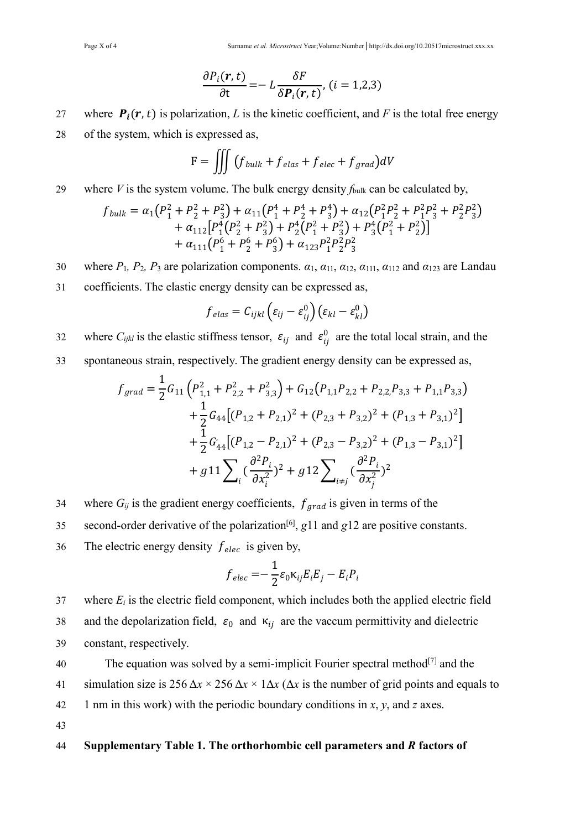$$
\frac{\partial P_i(\mathbf{r}, t)}{\partial t} = -L \frac{\delta F}{\delta P_i(\mathbf{r}, t)}, (i = 1, 2, 3)
$$

27 where  $P_i(r, t)$  is polarization, *L* is the kinetic coefficient, and *F* is the total free energy 28 of the system, which is expressed as,

$$
F = \iiint (f_{bulk} + f_{elas} + f_{elec} + f_{grad})dV
$$

#### 29 where *V* is the system volume. The bulk energy density *f*bulk can be calculated by,

$$
f_{bulk} = \alpha_1 (P_1^2 + P_2^2 + P_3^2) + \alpha_{11} (P_1^4 + P_2^4 + P_3^4) + \alpha_{12} (P_1^2 P_2^2 + P_1^2 P_3^2 + P_2^2 P_3^2) + \alpha_{112} [P_1^4 (P_2^2 + P_3^2) + P_2^4 (P_1^2 + P_3^2) + P_3^4 (P_1^2 + P_2^2)] + \alpha_{111} (P_1^6 + P_2^6 + P_3^6) + \alpha_{123} P_1^2 P_2^2 P_3^2
$$

- 30 where  $P_1$ ,  $P_2$ ,  $P_3$  are polarization components.  $\alpha_1$ ,  $\alpha_{11}$ ,  $\alpha_{12}$ ,  $\alpha_{111}$ ,  $\alpha_{112}$  and  $\alpha_{123}$  are Landau
- 31 coefficients. The elastic energy density can be expressed as,

$$
f_{elas} = C_{ijkl} \left( \varepsilon_{ij} - \varepsilon_{ij}^0 \right) \left( \varepsilon_{kl} - \varepsilon_{kl}^0 \right)
$$

- 32 where  $C_{ijkl}$  is the elastic stiffness tensor,  $\varepsilon_{ij}$  and  $\varepsilon_{ij}^0$  are the total local strain, and the
- 33 spontaneous strain, respectively. The gradient energy density can be expressed as,

$$
f_{grad} = \frac{1}{2} G_{11} \left( P_{1,1}^2 + P_{2,2}^2 + P_{3,3}^2 \right) + G_{12} (P_{1,1} P_{2,2} + P_{2,2} P_{3,3} + P_{1,1} P_{3,3})
$$
  
+ 
$$
\frac{1}{2} G_{44} [(P_{1,2} + P_{2,1})^2 + (P_{2,3} + P_{3,2})^2 + (P_{1,3} + P_{3,1})^2]
$$
  
+ 
$$
\frac{1}{2} G'_{44} [(P_{1,2} - P_{2,1})^2 + (P_{2,3} - P_{3,2})^2 + (P_{1,3} - P_{3,1})^2]
$$
  
+ 
$$
g11 \sum_{i} \left( \frac{\partial^2 P_i}{\partial x_i^2} \right)^2 + g12 \sum_{i \neq j} \left( \frac{\partial^2 P_i}{\partial x_j^2} \right)^2
$$

- 34 where  $G_{ij}$  is the gradient energy coefficients,  $f_{grad}$  is given in terms of the
- 35 second-order derivative of the polarization<sup>[6]</sup>, g11 and g12 are positive constants.
- 36 The electric energy density  $f_{elec}$  is given by,

$$
f_{elec} = -\frac{1}{2} \varepsilon_0 \kappa_{ij} E_i E_j - E_i P_i
$$

37 where  $E_i$  is the electric field component, which includes both the applied electric field 38 and the depolarization field,  $\varepsilon_0$  and  $\kappa_{ii}$  are the vaccum permittivity and dielectric 39 constant, respectively.

40 The equation was solved by a semi-implicit Fourier spectral method  $[7]$  and the 41 simulation size is  $256 \Delta x \times 256 \Delta x \times 1 \Delta x$  ( $\Delta x$  is the number of grid points and equals to 42 1 nm in this work) with the periodic boundary conditions in  $x$ ,  $y$ , and  $z$  axes. 43

#### 44 **Supplementary Table 1. The orthorhombic cell parameters and** *R* **factors of**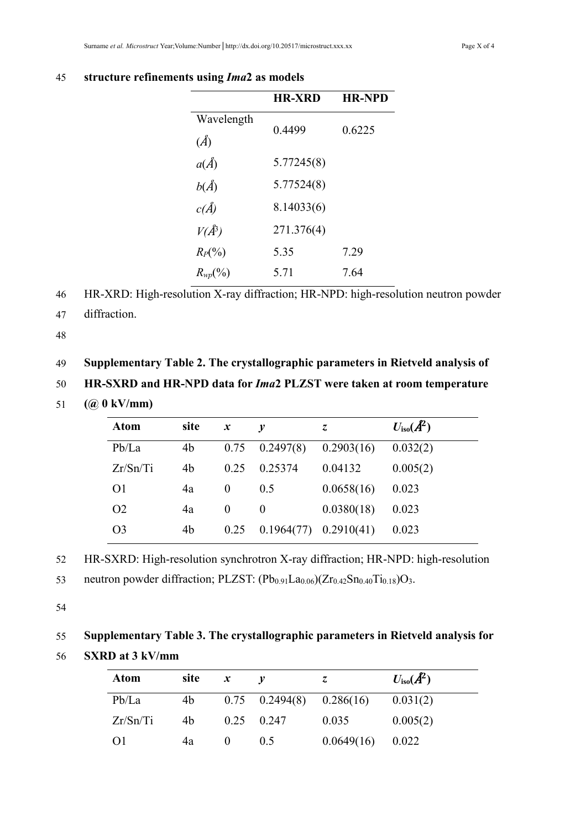|              | <b>HR-XRD</b> | <b>HR-NPD</b> |
|--------------|---------------|---------------|
| Wavelength   | 0.4499        | 0.6225        |
| $(\AA)$      |               |               |
| $a(\AA)$     | 5.77245(8)    |               |
| $b(\AA)$     | 5.77524(8)    |               |
| c(A)         | 8.14033(6)    |               |
| $V(A^3)$     | 271.376(4)    |               |
| $R_P(\%)$    | 5.35          | 7.29          |
| $R_{wp}(\%)$ | 5.71          | 7.64          |

#### 45 **structure refinements using** *Ima***2 as models**

46 HR-XRD: High-resolution X-ray diffraction; HR-NPD: high-resolution neutron powder

47 diffraction.

48

#### 49 **Supplementary Table 2. The crystallographic parameters in Rietveld analysis of**

50 **HR-SXRD and HR-NPD data for** *Ima***2 PLZST were taken at room temperature**

51 **(@ 0 kV/mm)**

| <b>Atom</b>    | site | $\boldsymbol{x}$ | v                               | Z.         | $U_{\text{iso}}(A^2)$ |
|----------------|------|------------------|---------------------------------|------------|-----------------------|
| Pb/La          | 4b   |                  | $0.75$ $0.2497(8)$ $0.2903(16)$ |            | 0.032(2)              |
| Zr/Sn/Ti       | 4b   | 0.25             | 0.25374                         | 0.04132    | 0.005(2)              |
| O <sub>1</sub> | 4a   | $\theta$         | 0.5                             | 0.0658(16) | 0.023                 |
| O <sub>2</sub> | 4a   | $\theta$         | 0                               | 0.0380(18) | 0.023                 |
| O <sub>3</sub> | 4b   | 0.25             | $0.1964(77)$ $0.2910(41)$       |            | 0.023                 |

52 HR-SXRD: High-resolution synchrotron X-ray diffraction; HR-NPD: high-resolution

53 neutron powder diffraction; PLZST:  $(Pb_{0.91}La_{0.06})(Zr_{0.42}Sn_{0.40}Ti_{0.18})O_3$ .

54

# 55 **Supplementary Table 3. The crystallographic parameters in Rietveld analysis for**

56 **SXRD at 3 kV/mm**

| <b>Atom</b>    | site | $\boldsymbol{x}$ |                                |            | $U_{\text{iso}}(A^2)$ |
|----------------|------|------------------|--------------------------------|------------|-----------------------|
| Pb/La          | 4b   |                  | $0.75$ $0.2494(8)$ $0.286(16)$ |            | 0.031(2)              |
| Zr/Sn/Ti       | 4b   |                  | $0.25$ 0.247                   | 0.035      | 0.005(2)              |
| O <sub>1</sub> | 4a   |                  | 0.5                            | 0.0649(16) | 0.022                 |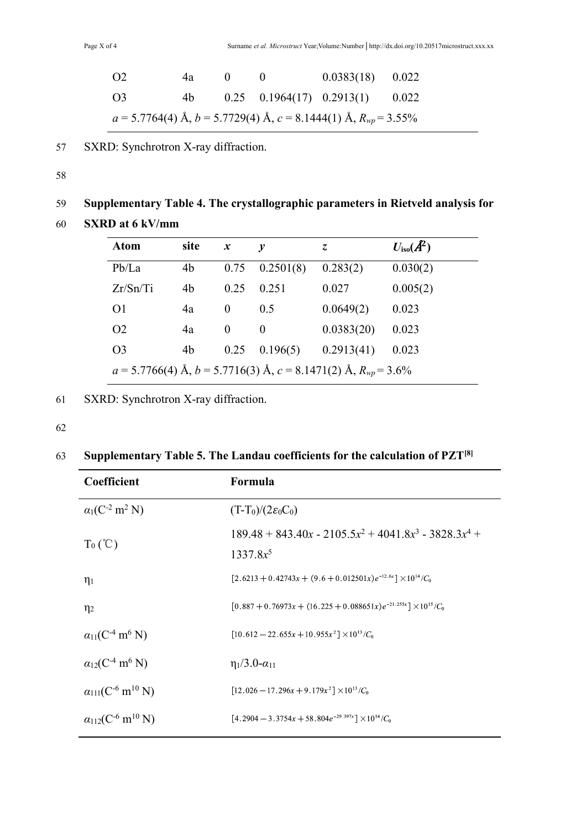| O <sub>2</sub>                                                             | 4a |  |  | $0.0383(18)$ $0.022$                    |  |
|----------------------------------------------------------------------------|----|--|--|-----------------------------------------|--|
| O <sub>3</sub>                                                             | 4b |  |  | $0.25$ $0.1964(17)$ $0.2913(1)$ $0.022$ |  |
| $a = 5.7764(4)$ Å, $b = 5.7729(4)$ Å, $c = 8.1444(1)$ Å, $R_{wp} = 3.55\%$ |    |  |  |                                         |  |

57 SXRD: Synchrotron X-ray diffraction.

58

# 59 **Supplementary Table 4. The crystallographic parameters in Rietveld analysis for**

60 **SXRD at 6 kV/mm**

| <b>Atom</b>                                                               | site | $\boldsymbol{x}$ | $\boldsymbol{v}$ | Z.         | $U_{\text{iso}}(A^2)$ |
|---------------------------------------------------------------------------|------|------------------|------------------|------------|-----------------------|
| Pb/La                                                                     | 4b   | 0.75             | 0.2501(8)        | 0.283(2)   | 0.030(2)              |
| Zr/Sn/Ti                                                                  | 4b   | 0.25             | 0.251            | 0.027      | 0.005(2)              |
| O <sub>1</sub>                                                            | 4a   | $\theta$         | 0.5              | 0.0649(2)  | 0.023                 |
| O <sub>2</sub>                                                            | 4a   | $\theta$         | $\theta$         | 0.0383(20) | 0.023                 |
| O <sub>3</sub>                                                            | 4b   | 0.25             | 0.196(5)         | 0.2913(41) | 0.023                 |
| $a = 5.7766(4)$ Å, $b = 5.7716(3)$ Å, $c = 8.1471(2)$ Å, $R_{wp} = 3.6\%$ |      |                  |                  |            |                       |

61 SXRD: Synchrotron X-ray diffraction.

62

 $\overline{a}$ 

## **Supplementary Table 5. The Landau coefficients for the calculation of PZT[8]** 63

| Coefficient                                     | Formula                                                                    |
|-------------------------------------------------|----------------------------------------------------------------------------|
| $\alpha_1(C^{-2} \text{ m}^2 \text{ N})$        | $(T-T_0)/(2\varepsilon_0C_0)$                                              |
| $T_0$ (°C)                                      | $189.48 + 843.40x - 2105.5x^2 + 4041.8x^3 - 3828.3x^4 +$<br>$1337.8x^5$    |
| $\eta_1$                                        | $[2.6213 + 0.42743x + (9.6 + 0.012501x)e^{-12.6x}] \times 10^{14}/C_0$     |
| $\eta_2$                                        | $[0.887 + 0.76973x + (16.225 + 0.088651x)e^{-21.255x}] \times 10^{15}/C_0$ |
| $a_{11}(C^4 \text{ m}^6 \text{ N})$             | $[10.612 - 22.655x + 10.955x^2] \times 10^{13} / C_0$                      |
| $a_{12}(C^4 \text{ m}^6 \text{ N})$             | $\eta_1/3.0 - \alpha_{11}$                                                 |
| $a_{111}(C^{-6} \text{ m}^{10} \text{ N})$      | $[12.026 - 17.296x + 9.179x^2] \times 10^{13} / C_0$                       |
| $\alpha_{112}(C^{-6} \text{ m}^{10} \text{ N})$ | $[4.2904 - 3.3754x + 58.804e^{-29.397x}] \times 10^{14}/C_0$               |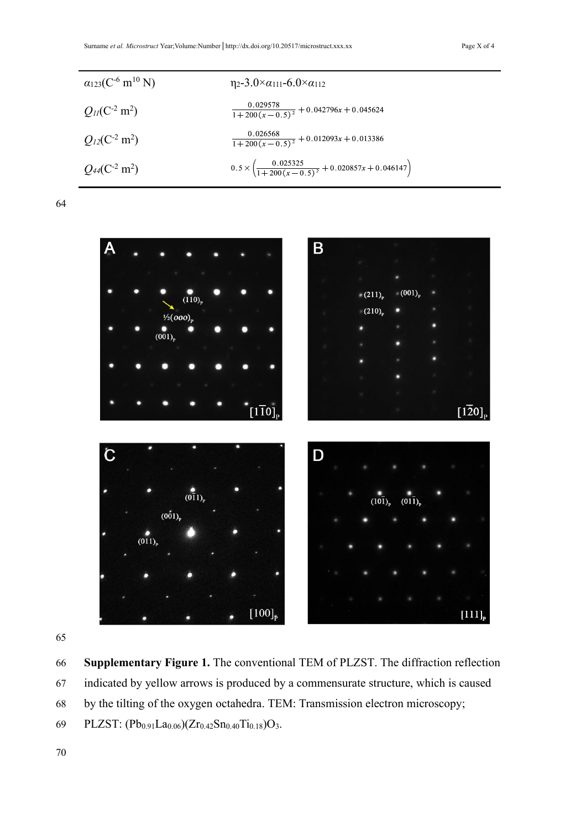| $a_{123}(C^{-6} \text{ m}^{10} \text{ N})$ | $\eta_2 - 3.0 \times \alpha_{111} - 6.0 \times \alpha_{112}$                     |
|--------------------------------------------|----------------------------------------------------------------------------------|
| $Q_{II}(C^2 m^2)$                          | $\frac{0.029578}{1+200(x-0.5)^2}+0.042796x+0.045624$                             |
| $Q_{12}(C^{-2} \text{ m}^2)$               | $\frac{0.026568}{1+200(x-0.5)^2}+0.012093x+0.013386$                             |
| $Q_{44}(C^2 \text{ m}^2)$                  | $0.5 \times \left(\frac{0.025325}{1+200(x-0.5)^2} + 0.020857x + 0.046147\right)$ |

64



65

66 **Supplementary Figure 1.** The conventional TEM of PLZST. The diffraction reflection 67 indicated by yellow arrows is produced by a commensurate structure, which is caused 68 by the tilting of the oxygen octahedra. TEM: Transmission electron microscopy; 69 PLZST:  $(Pb_{0.91}La_{0.06})$  $(Zr_{0.42}Sn_{0.40}Ti_{0.18})O_3$ .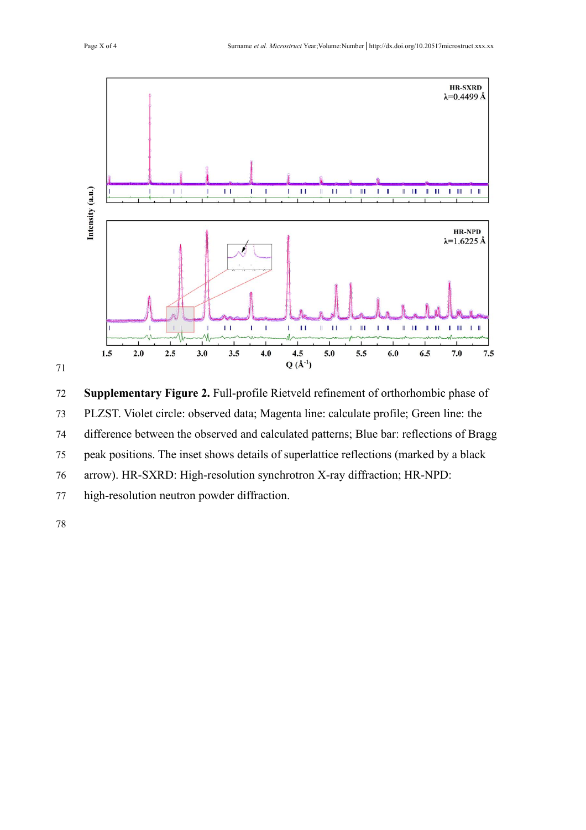

 **Supplementary Figure 2.** Full-profile Rietveld refinement of orthorhombic phase of PLZST. Violet circle: observed data; Magenta line: calculate profile; Green line: the difference between the observed and calculated patterns; Blue bar: reflections of Bragg 75 peak positions. The inset shows details of superlattice reflections (marked by a black arrow). HR-SXRD: High-resolution synchrotron X-ray diffraction; HR-NPD: high-resolution neutron powder diffraction.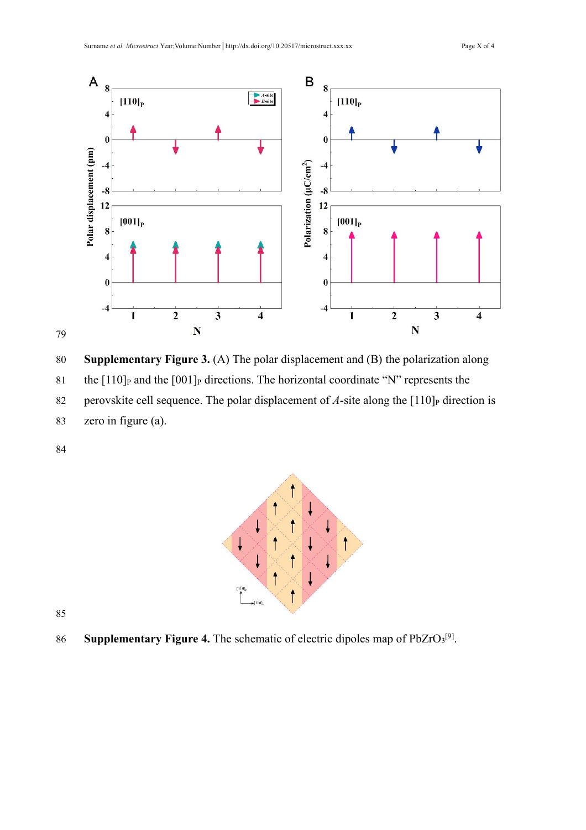

80 **Supplementary Figure 3.** (A) The polar displacement and (B) the polarization along

81 the  $[110]$ P and the  $[001]$ P directions. The horizontal coordinate "N" represents the

82 perovskite cell sequence. The polar displacement of  $A$ -site along the  $[110]_P$  direction is 83 zero in figure (a).

84



85

86 **Supplementary Figure 4.** The schematic of electric dipoles map of PbZrO<sub>3</sub><sup>[9]</sup>.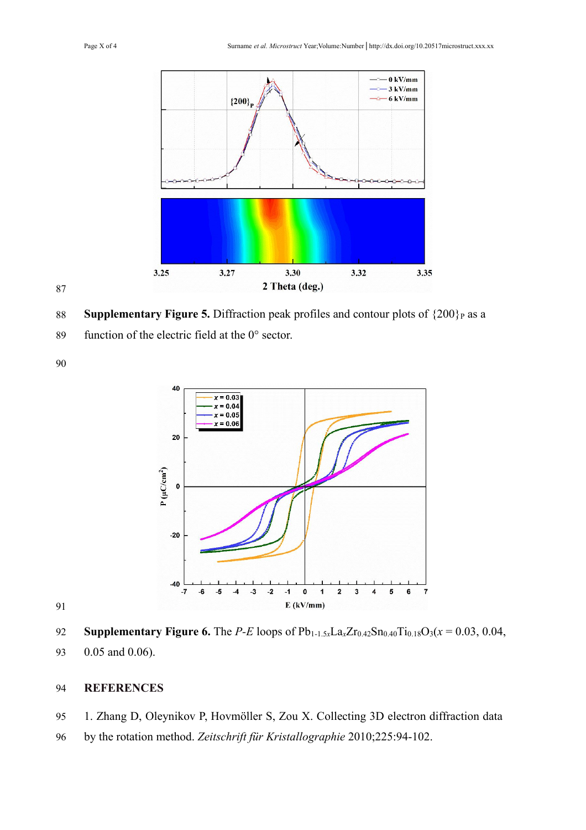

88 **Supplementary Figure 5.** Diffraction peak profiles and contour plots of  $\{200\}$  as a

function of the electric field at the 0° sector.



92 **Supplementary Figure 6.** The *P-E* loops of  $Pb_{1-1.5x}La_xZr_{0.42}Sn_{0.40}Ti_{0.18}O_3(x=0.03, 0.04,$ 0.05 and 0.06).

#### **REFERENCES**

- 1. Zhang D, Oleynikov P, Hovmöller S, Zou X. Collecting 3D electron diffraction data
- by the rotation method. *Zeitschrift für Kristallographie* 2010;225:94-102.